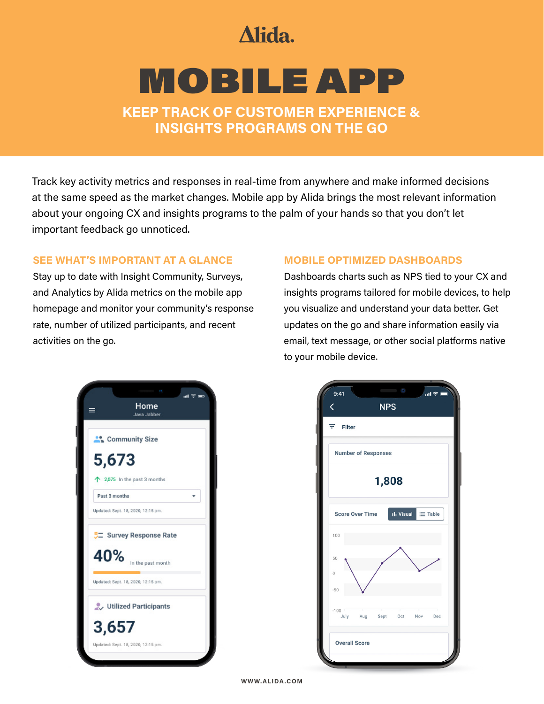## Alida.

# MOBILE APP

**KEEP TRACK OF CUSTOMER EXPERIENCE & INSIGHTS PROGRAMS ON THE GO** 

Track key activity metrics and responses in real-time from anywhere and make informed decisions at the same speed as the market changes. Mobile app by Alida brings the most relevant information about your ongoing CX and insights programs to the palm of your hands so that you don't let important feedback go unnoticed.

#### **SEE WHAT'S IMPORTANT AT A GLANCE**

Stay up to date with Insight Community, Surveys, and Analytics by Alida metrics on the mobile app homepage and monitor your community's response rate, number of utilized participants, and recent activities on the go.

#### **MOBILE OPTIMIZED DASHBOARDS**

Dashboards charts such as NPS tied to your CX and insights programs tailored for mobile devices, to help you visualize and understand your data better. Get updates on the go and share information easily via email, text message, or other social platforms native to your mobile device.